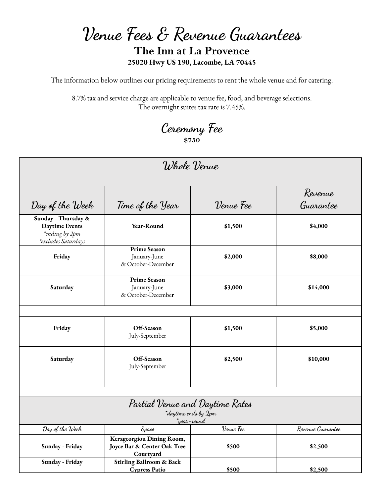**Venue Fees & Revenue Guarantees**

## **The Inn at La Provence 25020 Hwy US 190, Lacombe, LA 70445**

The information below outlines our pricing requirements to rent the whole venue and for catering.

8.7% tax and service charge are applicable to venue fee, food, and beverage selections. The overnight suites tax rate is 7.45%.

# **Ceremony Fee \$750**

| Whole Venue                                                                           |                                                                       |                                                         |                      |  |
|---------------------------------------------------------------------------------------|-----------------------------------------------------------------------|---------------------------------------------------------|----------------------|--|
| Day of the Week                                                                       | Time of the Year                                                      | Venue Fee                                               | Revenue<br>Guarantee |  |
| Sunday - Thursday &<br><b>Daytime Events</b><br>*ending by 2pm<br>*excludes Saturdays | Year-Round                                                            | \$1,500                                                 | \$4,000              |  |
| Friday                                                                                | <b>Prime Season</b><br>January-June<br>& October-December             | \$2,000                                                 | \$8,000              |  |
| Saturday                                                                              | <b>Prime Season</b><br>January-June<br>& October-December             | \$3,000                                                 | \$14,000             |  |
|                                                                                       |                                                                       |                                                         |                      |  |
| Friday                                                                                | Off-Season<br>July-September                                          | \$1,500                                                 | \$5,000              |  |
| Saturday                                                                              | Off-Season<br>July-September                                          | \$2,500                                                 | \$10,000             |  |
|                                                                                       |                                                                       |                                                         |                      |  |
|                                                                                       |                                                                       | Partial Venue and Daytime Rates<br>*daytime ends by 2pm |                      |  |
| Day of the Week                                                                       | Space                                                                 | *year-round<br>Venue Fee                                | Revenue Guarantee    |  |
| Sunday - Friday                                                                       | Kerageorgiou Dining Room,<br>Joyce Bar & Center Oak Tree<br>Courtyard | \$500                                                   | \$2,500              |  |
| Sunday - Friday                                                                       | <b>Stirling Ballroom &amp; Back</b><br><b>Cypress Patio</b>           | \$500                                                   | \$2,500              |  |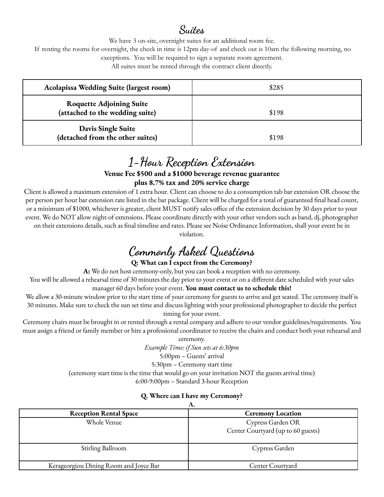# **Suites**

We have 3 on-site, overnight suites for an additional room fee.

If renting the rooms for overnight, the check in time is 12pm day-of and check out is 10am the following morning, no

exceptions. You will be required to sign a separate room agreement.

All suites must be rented through the contract client directly.

| Acolapissa Wedding Suite (largest room)                            | \$285 |  |
|--------------------------------------------------------------------|-------|--|
| <b>Roquette Adjoining Suite</b><br>(attached to the wedding suite) | \$198 |  |
| Davis Single Suite<br>(detached from the other suites)             | \$198 |  |

### **1-Hour Reception Extension Venue Fee \$500 and a \$1000 beverage revenue guarantee plus 8.7% tax and 20% service charge**

Client is allowed a maximum extension of 1 extra hour. Client can choose to do a consumption tab bar extension OR choose the per person per hour bar extension rate listed in the bar package. Client will be charged for a total of guaranteed final head count, or a minimum of \$1000, whichever is greater, client MUST notify sales office of the extension decision by 30 days prior to your event. We do NOT allow night-of extensions. Please coordinate directly with your other vendors such as band, dj, photographer on their extensions details, such as final timeline and rates. Please see Noise Ordinance Information, shall your event be in

violation.

# **Commonly Asked Questions**

#### **Q: What can I expect from the Ceremony?**

**A:** We do not host ceremony-only, but you can book a reception with no ceremony.

You will be allowed a rehearsal time of 30 minutes the day prior to your event or on a different date scheduled with your sales manager 60 days before your event. **You must contact us to schedule this!**

We allow a 30-minute window prior to the start time of your ceremony for guests to arrive and get seated. The ceremony itself is 30 minutes. Make sure to check the sun set time and discuss lighting with your professional photographer to decide the perfect timing for your event.

Ceremony chairs must be brought in or rented through a rental company and adhere to our vendor guidelines/requirements. You must assign a friend or family member or hire a professional coordinator to receive the chairs and conduct both your rehearsal and

ceremony. *Example Time: if Sun sets at 6:30pm* 5:00pm – Guests' arrival 5:30pm – Ceremony start time (ceremony start time is the time that would go on your invitation NOT the guests arrival time) 6:00-9:00pm – Standard 3-hour Reception

#### **Q. Where can I have my Ceremony?**

| Α.                                     |                                    |  |  |
|----------------------------------------|------------------------------------|--|--|
| <b>Reception Rental Space</b>          | <b>Ceremony Location</b>           |  |  |
| Whole Venue                            | Cypress Garden OR                  |  |  |
|                                        | Center Courtyard (up to 60 guests) |  |  |
| Stirling Ballroom                      | Cypress Garden                     |  |  |
| Kerageorgiou Dining Room and Joyce Bar | Center Courtvard                   |  |  |